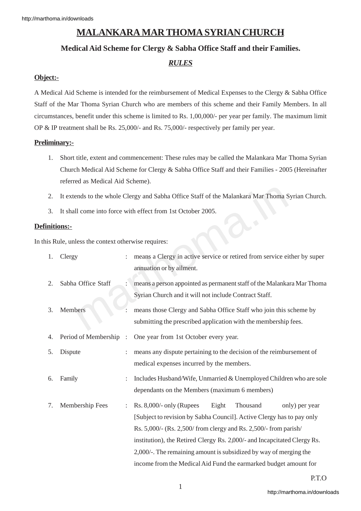# **MALANKARA MAR THOMA SYRIAN CHURCH**

# **Medical Aid Scheme for Clergy & Sabha Office Staff and their Families.**

# *RULES*

# **Object:-**

A Medical Aid Scheme is intended for the reimbursement of Medical Expenses to the Clergy & Sabha Office Staff of the Mar Thoma Syrian Church who are members of this scheme and their Family Members. In all circumstances, benefit under this scheme is limited to Rs. 1,00,000/- per year per family. The maximum limit OP & IP treatment shall be Rs. 25,000/- and Rs. 75,000/- respectively per family per year.

## **Preliminary:-**

- 1. Short title, extent and commencement: These rules may be called the Malankara Mar Thoma Syrian Church Medical Aid Scheme for Clergy & Sabha Office Staff and their Families - 2005 (Hereinafter referred as Medical Aid Scheme).
- 2. It extends to the whole Clergy and Sabha Office Staff of the Malankara Mar Thoma Syrian Church.
- 3. It shall come into force with effect from 1st October 2005.

### **Definitions:-**

In this Rule, unless the context otherwise requires:

| 2.                                              | It extends to the whole Clergy and Sabha Office Staff of the Malankara Mar Thoma Syrian Church. |                      |                                                                                                                                                                                                                                                                                                                                                                                                                                     |
|-------------------------------------------------|-------------------------------------------------------------------------------------------------|----------------------|-------------------------------------------------------------------------------------------------------------------------------------------------------------------------------------------------------------------------------------------------------------------------------------------------------------------------------------------------------------------------------------------------------------------------------------|
| 3.                                              | It shall come into force with effect from 1st October 2005.                                     |                      |                                                                                                                                                                                                                                                                                                                                                                                                                                     |
| nitions:-                                       |                                                                                                 |                      |                                                                                                                                                                                                                                                                                                                                                                                                                                     |
| is Rule, unless the context otherwise requires: |                                                                                                 |                      |                                                                                                                                                                                                                                                                                                                                                                                                                                     |
| 1.                                              | Clergy                                                                                          | $\ddot{\cdot}$       | means a Clergy in active service or retired from service either by super<br>annuation or by ailment.                                                                                                                                                                                                                                                                                                                                |
| 2.                                              | Sabha Office Staff                                                                              |                      | means a person appointed as permanent staff of the Malankara Mar Thoma<br>Syrian Church and it will not include Contract Staff.                                                                                                                                                                                                                                                                                                     |
| 3.                                              | Members                                                                                         |                      | means those Clergy and Sabha Office Staff who join this scheme by<br>submitting the prescribed application with the membership fees.                                                                                                                                                                                                                                                                                                |
| 4.                                              | Period of Membership                                                                            | $\ddot{\phantom{a}}$ | One year from 1st October every year.                                                                                                                                                                                                                                                                                                                                                                                               |
| 5.                                              | Dispute                                                                                         |                      | means any dispute pertaining to the decision of the reimbursement of<br>medical expenses incurred by the members.                                                                                                                                                                                                                                                                                                                   |
| 6.                                              | Family                                                                                          |                      | Includes Husband/Wife, Unmarried & Unemployed Children who are sole<br>dependants on the Members (maximum 6 members)                                                                                                                                                                                                                                                                                                                |
| 7.                                              | Membership Fees                                                                                 |                      | $Rs. 8,000/- only (Runees$<br>Eight<br>Thousand<br>only) per year<br>[Subject to revision by Sabha Council]. Active Clergy has to pay only<br>Rs. 5,000/- (Rs. 2,500/ from clergy and Rs. 2,500/- from parish/<br>institution), the Retired Clergy Rs. 2,000/- and Incapcitated Clergy Rs.<br>2,000/-. The remaining amount is subsidized by way of merging the<br>income from the Medical Aid Fund the earmarked budget amount for |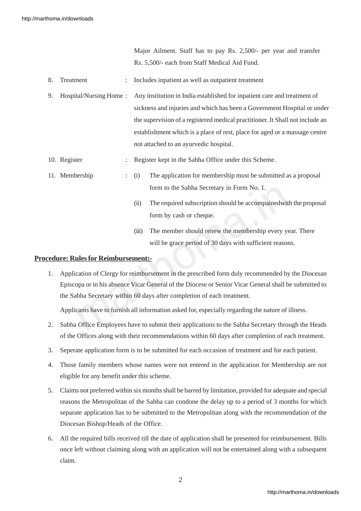Major Ailment. Staff has to pay Rs. 2,500/- per year and transfer Rs. 5,500/- each from Staff Medical Aid Fund.

- 8. Treatment : Includes inpatient as well as outpatient treatment
- 9. Hospital/Nursing Home : Any institution in India established for inpatient care and treatment of sickness and injuries and which has been a Government Hospital or under the supervision of a registered medical practitioner. It Shall not include an establishment which is a place of rest, place for aged or a massage centre not attached to an ayurvedic hospital.
- 10. Register : Register kept in the Sabha Office under this Scheme.
- 11. Membership : (i) The application for membership must be submitted as a proposal form to the Sabha Secretary in Form No. 1.
	- (ii) The required subscription should be accompainedwith the proposal form by cash or cheque.
	- (iii) The member should renew the membership every year. There will be grace period of 30 days with sufficient reasons.

#### **Procedure: Rules for Reimbursement:-**

form to the Sabha Secretary in Form No. 1.<br>
(ii) The required subscription should be accompained with t<br>
form by cash or cheque.<br>
(iii) The member should renew the membership every year<br>
will be grace period of 30 days wit 1. Application of Clergy for reimbursement in the prescribed form duly recommended by the Diocesan Episcopa or in his absence Vicar General of the Diocese or Senior Vicar General shall be submitted to the Sabha Secretary within 60 days after completion of each treatment.

Applicants have to furnish all information asked for, especially regarding the nature of illness.

- 2. Sabha Office Employees have to submit their applications to the Sabha Secretary through the Heads of the Offices along with their recommendations within 60 days after completion of each treatment.
- 3. Seperate application form is to be submitted for each occasion of treatment and for each patient.
- 4. Those family members whose names were not entered in the application for Membership are not eligible for any benefit under this scheme.
- 5. Claims not preferred within six months shall be barred by limitation, provided for adequate and special reasons the Metropolitan of the Sabha can condone the delay up to a period of 3 months for which separate application has to be submitted to the Metropolitan along with the recommendation of the Diocesan Bishop/Heads of the Office.
- 6. All the required bills received till the date of application shall be presented for reimbursement. Bills once left without claiming along with an application will not be entertained along with a subsequent claim.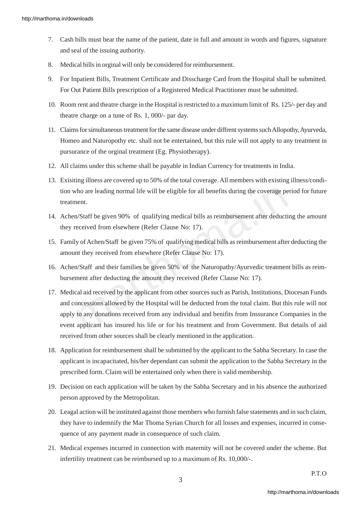- 7. Cash bills must bear the name of the patient, date in full and amount in words and figures, signature and seal of the issuing authority.
- 8. Medical bills in orginal will only be considered for reimbursement.
- 9. For Inpatient Bills, Treatment Certificate and Disscharge Card from the Hospital shall be submitted. For Out Patient Bills prescription of a Registered Medical Practitioner must be submitted.
- 10. Room rent and theatre charge in the Hospital is restricted to a maximum limit of Rs. 125/- per day and theatre charge on a tune of Rs. 1, 000/- par day.
- 11. Claims for simultaneous treatment for the same disease under diffrent systems such Allopothy, Ayurveda, Homeo and Naturopothy etc. shall not be entertained, but this rule will not apply to any treatment in pursurance of the orginal treatment (Eg. Physiotherapy).
- 12. All claims under this scheme shall be payable in Indian Currency for treatments in India.
- 13. Exisiting illness are covered up to 50% of the total coverage. All members with existing illness/condition who are leading normal life will be eligible for all benefits during the coverage period for future treatment.
- 14. Achen/Staff be given 90% of qualifying medical bills as reimbursement after deducting the amount they received from elsewhere (Refer Clause No: 17).
- 15. Family of Achen/Staff be given 75% of qualifying medical bills as reimbursement after deducting the amount they received from elsewhere (Refer Clause No: 17).
- 16. Achen/Staff and their families be given 50% of the Naturopathy/Ayurvedic treatment bills as reimbursement after deducting the amount they received (Refer Clause No: 17).
- The vill be eligible for all benefits during the coverage pericular<br>
1./Staff be given 90% of qualifying medical bills as reimbursement after deducting<br>
1./Staff be given 90% of qualifying medical bills as reimbursement af 17. Medical aid received by the applicant from other sources such as Parish, Institutions, Diocesan Funds and concessions allowed by the Hospital will be deducted from the total claim. But this rule will not apply to any donations received from any individual and benifits from Inssurance Companies in the event applicant has insured his life or for his treatment and from Government. But details of aid received from other sources shall be clearly mentioned in the application.
- 18. Application for reimbursement shall be submitted by the applicant to the Sabha Secretary. In case the applicant is incapacitated, his/her dependant can submit the application to the Sabha Secretary in the prescribed form. Claim will be entertained only when there is valid membership.
- 19. Decision on each application will be taken by the Sabha Secretary and in his absence the authorized person approved by the Metropolitan.
- 20. Leagal action will be instituted against those members who furnish false statements and in such claim, they have to indemnify the Mar Thoma Syrian Church for all losses and expenses, incurred in consequence of any payment made in consequence of such claim.
- 21. Medical expenses incurred in connection with maternity will not be covered under the scheme. But infertility treatment can be reimbursed up to a maximum of Rs. 10,000/-.